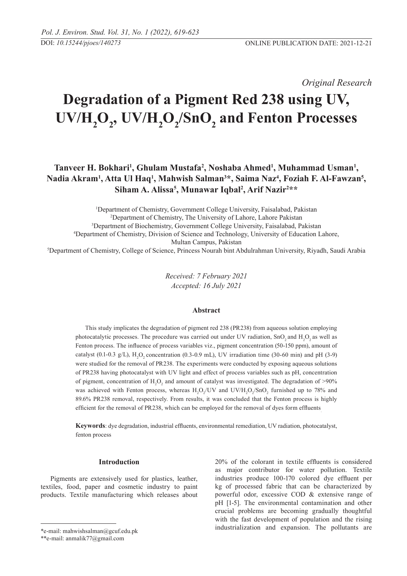*Original Research* 

# **Degradation of a Pigment Red 238 using UV,**  UV/H<sub>2</sub>O<sub>2</sub>, UV/H<sub>2</sub>O<sub>2</sub>/SnO<sub>2</sub> and Fenton Processes

## Tanveer H. Bokhari<sup>1</sup>, Ghulam Mustafa<sup>2</sup>, Noshaba Ahmed<sup>1</sup>, Muhammad Usman<sup>1</sup>, Nadia Akram<sup>1</sup>, Atta Ul Haq<sup>1</sup>, Mahwish Salman<sup>3\*</sup>, Saima Naz<sup>4</sup>, Foziah F. Al-Fawzan<sup>5</sup>, **Siham A. Alissa5 , Munawar Iqbal2 , Arif Nazir2 \*\***

 Department of Chemistry, Government College University, Faisalabad, Pakistan Department of Chemistry, The University of Lahore, Lahore Pakistan Department of Biochemistry, Government College University, Faisalabad, Pakistan Department of Chemistry, Division of Science and Technology, University of Education Lahore, Multan Campus, Pakistan Department of Chemistry, College of Science, Princess Nourah bint Abdulrahman University, Riyadh, Saudi Arabia

> *Received: 7 February 2021 Accepted: 16 July 2021*

#### **Abstract**

This study implicates the degradation of pigment red 238 (PR238) from aqueous solution employing photocatalytic processes. The procedure was carried out under UV radiation,  $SnO<sub>2</sub>$  and  $H<sub>2</sub>O<sub>2</sub>$  as well as Fenton process. The influence of process variables viz., pigment concentration (50-150 ppm), amount of catalyst (0.1-0.3 g/L),  $H_2O_2$  concentration (0.3-0.9 mL), UV irradiation time (30-60 min) and pH (3-9) were studied for the removal of PR238. The experiments were conducted by exposing aqueous solutions of PR238 having photocatalyst with UV light and effect of process variables such as pH, concentration of pigment, concentration of  $H_2O_2$  and amount of catalyst was investigated. The degradation of >90% was achieved with Fenton process, whereas  $H_2O_2$ /UV and UV/ $H_2O_2$ /SnO<sub>2</sub> furnished up to 78% and 89.6% PR238 removal, respectively. From results, it was concluded that the Fenton process is highly efficient for the removal of PR238, which can be employed for the removal of dyes form effluents.

**Keywords**: dye degradation, industrial effluents, environmental remediation, UV radiation, photocatalyst, fenton process

### **Introduction**

Pigments are extensively used for plastics, leather, textiles, food, paper and cosmetic industry to paint products. Textile manufacturing which releases about 20% of the colorant in textile effluents is considered as major contributor for water pollution. Textile industries produce 100-170 colored dye effluent per kg of processed fabric that can be characterized by powerful odor, excessive COD & extensive range of pH [1-5]. The environmental contamination and other crucial problems are becoming gradually thoughtful with the fast development of population and the rising industrialization and expansion. The pollutants are

<sup>\*</sup>e-mail: mahwishsalman@gcuf.edu.pk

<sup>\*\*</sup>e-mail: anmalik77@gmail.com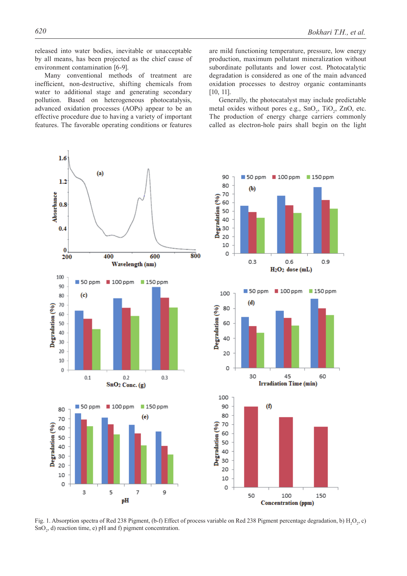released into water bodies, inevitable or unacceptable by all means, has been projected as the chief cause of environment contamination [6-9].

Many conventional methods of treatment are inefficient, non-destructive, shifting chemicals from water to additional stage and generating secondary pollution. Based on heterogeneous photocatalysis, advanced oxidation processes (AOPs) appear to be an effective procedure due to having a variety of important features. The favorable operating conditions or features

are mild functioning temperature, pressure, low energy production, maximum pollutant mineralization without subordinate pollutants and lower cost. Photocatalytic degradation is considered as one of the main advanced oxidation processes to destroy organic contaminants [10, 11].

Generally, the photocatalyst may include predictable metal oxides without pores e.g.,  $SnO<sub>2</sub>$ ,  $TiO<sub>2</sub>$ ,  $ZnO$ , etc. The production of energy charge carriers commonly called as electron-hole pairs shall begin on the light



Fig. 1. Absorption spectra of Red 238 Pigment, (b-f) Effect of process variable on Red 238 Pigment percentage degradation, b)  $H_2O_2$ , c)  $SnO<sub>2</sub>$ , d) reaction time, e) pH and f) pigment concentration.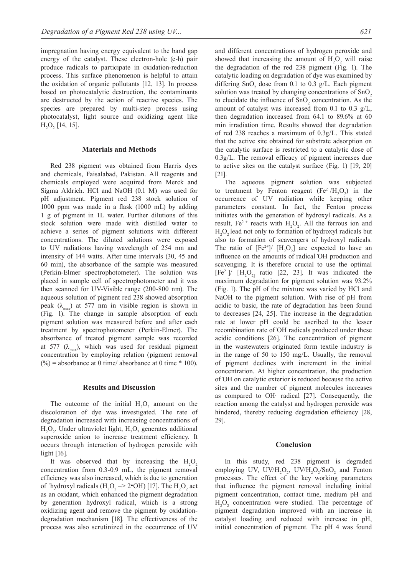impregnation having energy equivalent to the band gap energy of the catalyst. These electron-hole (e-h) pair produce radicals to participate in oxidation-reduction process. This surface phenomenon is helpful to attain the oxidation of organic pollutants [12, 13]. In process based on photocatalytic destruction, the contaminants are destructed by the action of reactive species. The species are prepared by multi-step process using photocatalyst, light source and oxidizing agent like  $H_2O_2$  [14, 15].

#### **Materials and Methods**

Red 238 pigment was obtained from Harris dyes and chemicals, Faisalabad, Pakistan. All reagents and chemicals employed were acquired from Merck and Sigma Aldrich. HCl and NaOH (0.1 M) was used for pH adjustment. Pigment red 238 stock solution of 1000 ppm was made in a flask (1000 mL) by adding 1 g of pigment in 1L water. Further dilutions of this stock solution were made with distilled water to achieve a series of pigment solutions with different concentrations. The diluted solutions were exposed to UV radiations having wavelength of 254 nm and intensity of 144 watts. After time intervals (30, 45 and 60 min), the absorbance of the sample was measured (Perkin-Elmer spectrophotometer). The solution was placed in sample cell of spectrophotometer and it was then scanned for UV-Visible range (200-800 nm). The aqueous solution of pigment red 238 showed absorption peak ( $\lambda_{\text{max}}$ ) at 577 nm in visible region is shown in (Fig. 1). The change in sample absorption of each pigment solution was measured before and after each treatment by spectrophotometer (Perkin-Elmer). The absorbance of treated pigment sample was recorded at 577 ( $\lambda_{\text{max}}$ ), which was used for residual pigment concentration by employing relation (pigment removal  $(\%)$  = absorbance at 0 time/ absorbance at 0 time  $*$  100).

#### **Results and Discussion**

The outcome of the initial  $H_2O_2$  amount on the discoloration of dye was investigated. The rate of degradation increased with increasing concentrations of  $H_2O_2$ . Under ultraviolet light,  $H_2O_2$  generates additional superoxide anion to increase treatment efficiency. It occurs through interaction of hydrogen peroxide with light [16].

It was observed that by increasing the  $H_2O_2$ concentration from 0.3-0.9 mL, the pigment removal efficiency was also increased, which is due to generation of 'hydroxyl radicals ( $H_2O_2 \rightarrow 2$ <sup>•</sup>OH) [17]. The  $H_2O_2$  act as an oxidant, which enhanced the pigment degradation by generation hydroxyl radical, which is a strong oxidizing agent and remove the pigment by oxidationdegradation mechanism [18]. The effectiveness of the process was also scrutinized in the occurrence of UV

and different concentrations of hydrogen peroxide and showed that increasing the amount of  $H_2O_2$  will raise the degradation of the red 238 pigment (Fig. 1). The catalytic loading on degradation of dye was examined by differing  $SnO<sub>2</sub>$  dose from 0.1 to 0.3 g/L. Each pigment solution was treated by changing concentrations of  $SnO<sub>2</sub>$ to elucidate the influence of  $SnO<sub>2</sub>$  concentration. As the amount of catalyst was increased from 0.1 to 0.3 g/L, then degradation increased from 64.1 to 89.6% at 60 min irradiation time. Results showed that degradation of red 238 reaches a maximum of 0.3g/L. This stated that the active site obtained for substrate adsorption on the catalytic surface is restricted to a catalytic dose of 0.3g/L. The removal efficacy of pigment increases due to active sites on the catalyst surface (Fig. 1) [19, 20] [21].

The aqueous pigment solution was subjected to treatment by Fenton reagent  $(Fe^{2+}/H_2O_2)$  in the occurrence of UV radiation while keeping other parameters constant. In fact, the Fenton process initiates with the generation of hydroxyl radicals. As a result,  $Fe^{2+}$  reacts with  $H_2O_2$ . All the ferrous ion and  $H_2O_2$  lead not only to formation of hydroxyl radicals but also to formation of scavengers of hydroxyl radicals. The ratio of  $[Fe^{2+}]/ [H_2O_2]$  are expected to have an influence on the amounts of radical ̇OH production and scavenging. It is therefore crucial to use the optimal  $[Fe^{2+}]/ [H_2O_{21}]$  ratio [22, 23]. It was indicated the maximum degradation for pigment solution was 93.2% (Fig. 1). The pH of the mixture was varied by HCl and NaOH to the pigment solution. With rise of pH from acidic to basic, the rate of degradation has been found to decreases [24, 25]. The increase in the degradation rate at lower pH could be ascribed to the lesser recombination rate of ̇OH radicals produced under these acidic conditions [26]. The concentration of pigment in the wastewaters originated form textile industry is in the range of 50 to 150 mg/L. Usually, the removal of pigment declines with increment in the initial concentration. At higher concentration, the production of ̇OH on catalytic exterior is reduced because the active sites and the number of pigment molecules increases as compared to OH· radical [27]. Consequently, the reaction among the catalyst and hydrogen peroxide was hindered, thereby reducing degradation efficiency [28, 29].

#### **Conclusion**

In this study, red 238 pigment is degraded employing UV,  $UV/H_2O_2$ ,  $UV/H_2O_2/SnO_2$  and Fenton processes. The effect of the key working parameters that influence the pigment removal including initial pigment concentration, contact time, medium pH and  $H_2O_2$  concentration were studied. The percentage of pigment degradation improved with an increase in catalyst loading and reduced with increase in pH, initial concentration of pigment. The pH 4 was found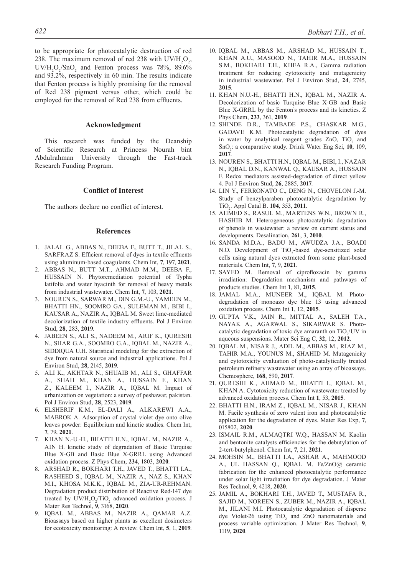to be appropriate for photocatalytic destruction of red 238. The maximum removal of red 238 with  $UV/H_2O_2$ ,  $UV/H_2O_2/SnO_2$  and Fenton process was 78%, 89.6% and 93.2%, respectively in 60 min. The results indicate that Fenton process is highly promising for the removal of Red 238 pigment versus other, which could be employed for the removal of Red 238 from effluents.

#### **Acknowledgment**

This research was funded by the Deanship of Scientific Research at Princess Nourah bint Abdulrahman University through the Fast-track Research Funding Program.

#### **Conflict of Interest**

The authors declare no conflict of interest.

#### **References**

- 1. JALAL G., ABBAS N., DEEBA F., BUTT T., JILAL S., SARFRAZ S. Efficient removal of dyes in textile effluents using aluminum-based coagulants. Chem Int, **7**, 197, **2021**.
- 2. ABBAS N., BUTT M.T., AHMAD M.M., DEEBA F., HUSSAIN N. Phytoremediation potential of Typha latifolia and water hyacinth for removal of heavy metals from industrial wastewater. Chem Int, **7**, 103, **2021**.
- 3. NOUREN S., SARWAR M., DIN G.M.-U., YAMEEN M., BHATTI HN., SOOMRO GA., SULEMAN M., BIBI I., KAUSAR A., NAZIR A., IQBAL M. Sweet lime-mediated decolorization of textile industry effluents. Pol J Environ Stud, **28**, 283, **2019**.
- 4. JABEEN S., ALI S., NADEEM M., ARIF K., QURESHI N., SHAR G.A., SOOMRO G.A., IQBAL M., NAZIR A., SIDDIQUA U.H. Statistical modeling for the extraction of dye from natural source and industrial applications. Pol J Environ Stud, **28**, 2145, **2019**.
- 5. ALI K., AKHTAR N., SHUAIB M., ALI S., GHAFFAR A., SHAH M., KHAN A., HUSSAIN F., KHAN Z., KALEEM I., NAZIR A., IQBAL M. Impact of urbanization on vegetation: a survey of peshawar, pakistan. Pol J Environ Stud, **28**, 2523, **2019**.
- 6. ELSHERIF K.M., EL-DALI A., ALKAREWI A.A., MABROK A. Adsorption of crystal violet dye onto olive leaves powder: Equilibrium and kinetic studies. Chem Int, **7**, 79, **2021**.
- 7. KHAN N.-U.-H., BHATTI H.N., IQBAL M., NAZIR A., AIN H. kinetic study of degradation of Basic Turquise Blue X-GB and Basic Blue X-GRRL using Advanced oxidation process. Z Phys Chem, **234**, 1803, **2020**.
- 8. ARSHAD R., BOKHARI T.H., JAVED T., BHATTI I.A., RASHEED S., IQBAL M., NAZIR A., NAZ S., KHAN M.I., KHOSA M.K.K., IQBAL M., ZIA-UR-REHMAN. Degradation product distribution of Reactive Red-147 dye treated by  $UV/H_2O_2/TiO_2$  advanced oxidation process. J Mater Res Technol, **9**, 3168, **2020**.
- 9. Iqbal M., Abbas M., Nazir A., Qamar A.Z. Bioassays based on higher plants as excellent dosimeters for ecotoxicity monitoring: A review. Chem Int, **5**, 1, **2019**.
- 10. IQBAL M., ABBAS M., ARSHAD M., HUSSAIN T., KHAN A.U., MASOOD N., TAHIR M.A., HUSSAIN S.M., BOKHARI T.H., KHEA R.A., Gamma radiation treatment for reducing cytotoxicity and mutagenicity in industrial wastewater. Pol J Environ Stud, **24**, 2745, **2015**.
- 11. KHAN N.U.-H., BHATTI H.N., IQBAL M., NAZIR A. Decolorization of basic Turquise Blue X-GB and Basic Blue X-GRRL by the Fenton's process and its kinetics. Z Phys Chem, **233**, 361, **2019**.
- 12. SHINDE D.R., TAMBADE P.S., CHASKAR M.G., GADAVE K.M. Photocatalytic degradation of dyes in water by analytical reagent grades  $ZnO$ ,  $TiO<sub>2</sub>$  and SnO2 : a comparative study. Drink Water Eng Sci, **10**, 109, **2017**.
- 13. NOUREN S., BHATTI H.N., IQBAL M., BIBI, I., NAZAR N., IQBAL D.N., KANWAL Q., KAUSAR A., HUSSAIN F. Redox mediators assisted-degradation of direct yellow 4. Pol J Environ Stud, **26**, 2885, **2017**.
- 14. LIN Y., FERRONATO C., DENG N., CHOVELON J.-M. Study of benzylparaben photocatalytic degradation by TiO2 . Appl Catal B. **104**, 353, **2011**.
- 15. AHMED S., RASUL M., MARTENS W.N., BROWN R., HASHIB M. Heterogeneous photocatalytic degradation of phenols in wastewater: a review on current status and developments. Desalination, **261**, 3, **2010**.
- 16. SANDA M.D.A., BADU M., AWUDZA J.A., BOADI N.O. Development of TiO<sub>2</sub>-based dye-sensitized solar cells using natural dyes extracted from some plant-based materials. Chem Int, **7**, 9, **2021**.
- 17. SAYED M. Removal of ciprofloxacin by gamma irradiation: Degradation mechanism and pathways of products studies. Chem Int **1**, 81, **2015**.
- 18. JAMAL M.A., MUNEER M., IQBAL M. Photodegradation of monoazo dye blue 13 using advanced oxidation process. Chem Int **1**, 12, **2015**.
- 19. GUPTA V.K., JAIN R., MITTAL A., SALEH T.A., NAYAK A., AGARWAL S., SIKARWAR S. Photocatalytic degradation of toxic dye amaranth on  $TiO<sub>2</sub>/UV$  in aqueous suspensions. Mater Sci Eng C, **32**, 12, **2012**.
- 20. IQBAL M., NISAR J., ADIL M., ABBAS M., RIAZ M., TAHIR M.A., YOUNUS M., SHAHID M. Mutagenicity and cytotoxicity evaluation of photo-catalytically treated petroleum refinery wastewater using an array of bioassays. Chemosphere, **168**, 590, **2017**.
- 21. QURESHI K., AHMAD M., BHATTI I., IQBAL M., KHAN A. Cytotoxicity reduction of wastewater treated by advanced oxidation process. Chem Int **1**, 53, **2015**.
- 22. BHATTI H.N., IRAM Z., IQBAL M., NISAR J., KHAN M. Facile synthesis of zero valent iron and photocatalytic application for the degradation of dyes. Mater Res Exp, **7**, 015802, **2020**.
- 23. ISMAIL R.M., ALMAQTRI W.Q., HASSAN M. Kaolin and bentonite catalysts efficiencies for the debutylation of 2-tert-butylphenol. Chem Int, **7**, 21, **2021**.
- 24. MOHSIN M., BHATTI I.A., ASHAR A., MAHMOOD A., UL HASSAN Q., IQBAL M. Fe/ZnO@ ceramic fabrication for the enhanced photocatalytic performance under solar light irradiation for dye degradation. J Mater Res Technol, **9**, 4218, **2020**.
- 25. JAMIL A., BOKHARI T.H., JAVED T., MUSTAFA R., SAJID M., NOREEN S., ZUBER M., NAZIR A., IQBAL M., JILANI M.I. Photocatalytic degradation of disperse dye Violet-26 using  $TiO<sub>2</sub>$  and ZnO nanomaterials and process variable optimization. J Mater Res Technol, **9**, 1119, **2020**.